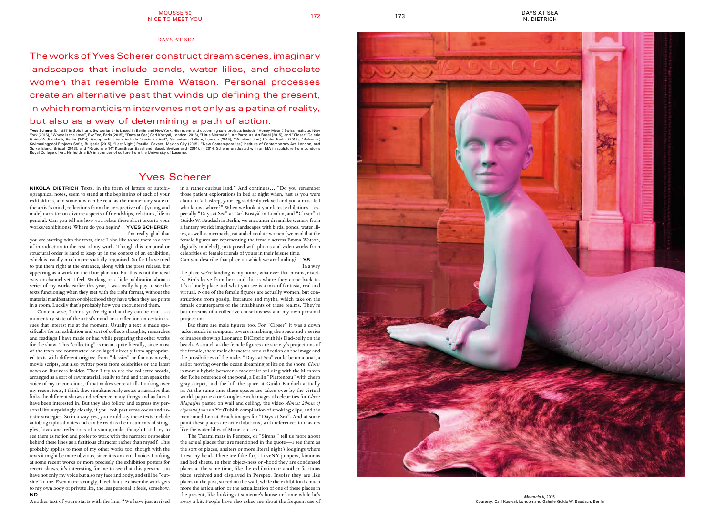## Yves Scherer

**NIKOLA DIETRICH** Texts, in the form of letters or autobiographical notes, seem to stand at the beginning of each of your exhibitions, and somehow can be read as the momentary state of the artist's mind, reflections from the perspective of a (young and male) narrator on diverse aspects of friendships, relations, life in general. Can you tell me how you relate these short texts to your works/exhibitions? Where do you begin? **YVES SCHERER** I'm really glad that

you are starting with the texts, since I also like to see them as a sort of introduction to the rest of my work. Though this temporal or structural order is hard to keep up in the context of an exhibition, which is usually much more spatially organized. So far I have tried to put them right at the entrance, along with the press release, but appearing as a work on the floor plan too. But this is not the ideal way or channel yet, I feel. Working on a little publication about a series of my works earlier this year, I was really happy to see the texts functioning when they met with the right format, without the material manifestation or objecthood they have when they are prints in a room. Luckily that's probably how you encountered them.

Content-wise, I think you're right that they can be read as a momentary state of the artist's mind or a reflection on certain issues that interest me at the moment. Usually a text is made specifically for an exhibition and sort of collects thoughts, researches and readings I have made or had while preparing the other works for the show. This "collecting" is meant quite literally, since most of the texts are constructed or collaged directly from appropriated texts with different origins; from "classics" or famous novels, movie scripts, but also twitter posts from celebrities or the latest news on Business Insider. Then I try to use the collected words, arranged as a sort of raw material, really to find and then speak the voice of my unconscious, if that makes sense at all. Looking over my recent texts, I think they simultaneously create a narrative that links the different shows and reference many things and authors I have been interested in. But they also follow and express my personal life surprisingly closely, if you look past some codes and artistic strategies. So in a way yes, you could say these texts include autobiographical notes and can be read as the documents of struggles, loves and reflections of a young male, though I still try to see them as fiction and prefer to work with the narrator or speaker behind these lines as a fictitious character rather than myself. This probably applies to most of my other works too, though with the texts it might be more obvious, since it is an actual voice. Looking at some recent works or more precisely the exhibition posters for recent shows, it's interesting for me to see that this persona can have not only my voice but also my face and body, and still be "outside" of me. Even more strongly, I feel that the closer the work gets to my own body or private life, the less personal it feels, somehow. **ND**

Another text of yours starts with the line: "We have just arrived

in a rather curious land." And continues… "Do you remember those patient explorations in bed at night when, just as you were about to fall asleep, your leg suddenly relaxed and you almost fell who knows where?" When we look at your latest exhibitions—especially "Days at Sea" at Carl Kostyàl in London, and "Closer" at Guido W. Baudach in Berlin, we encounter dreamlike scenery from a fantasy world: imaginary landscapes with birds, ponds, water lilies, as well as mermaids, cat and chocolate women (we read that the female figures are representing the female actress Emma Watson, digitally modeled), juxtaposed with photos and video works from celebrities or female friends of yours in their leisure time. Can you describe that place on which we are landing? **YS**

In a way

the place we're landing is my home, whatever that means, exactly. Birds leave from here and this is where they come back to. It's a lonely place and what you see is a mix of fantasia, real and virtual. None of the female figures are actually women, but constructions from gossip, literature and myths, which take on the female counterparts of the inhabitants of these realms. They're both dreams of a collective consciousness and my own personal projections.

But there are male figures too. For "Closer" it was a down jacket stuck in computer towers inhabiting the space and a series of images showing Leonardo DiCaprio with his Dad-belly on the beach. As much as the female figures are society's projections of the female, these male characters are a reflection on the image and the possibilities of the male. "Days at Sea" could be on a boat, a sailor moving over the ocean dreaming of life on the shore. *Closer* is more a hybrid between a modernist building with the Mies van der Rohe reference of the pond, a Berlin "Plattenbau" with cheap gray carpet, and the loft the space at Guido Baudach actually is. At the same time these spaces are taken over by the virtual world, paparazzi or Google search images of celebrities for *Closer Magazine* pasted on wall and ceiling, the video *Almost 20min of cigarette fun* as a YouTubish compilation of smoking clips, and the mentioned Leo at Beach images for "Days at Sea". And at some point these places are art exhibitions, with references to masters like the water lilies of Monet etc. etc.

The Tatami mats in Perspex, or "Sirens," tell us more about the actual places that are mentioned in the quote—I see them as the sort of places, shelters or more literal night's lodgings where I rest my head. There are fake fur, ILoveNY jumpers, kimonos and bed sheets. In their object-ness or -hood they are condensed places at the same time, like the exhibition or another fictitious place archived and displayed in Perspex. Insofar they are like places of the past, stored on the wall, while the exhibition is much more the articulation or the actualization of one of these places in the present, like looking at someone's house or home while he's away a bit. People have also asked me about the frequent use of



## DAYS AT SEA<br>N. DIETRICH 172 173 173 N. DIETRICH

The works of Yves Scherer construct dream scenes, imaginary landscapes that include ponds, water lilies, and chocolate women that resemble Emma Watson. Personal processes create an alternative past that winds up defining the present, in which romanticism intervenes not only as a patina of reality, but also as a way of determining a path of action.

**Yves Scherer** (b. 1987 in Solothurn, Switzerland) is based in Berlin and New York. His recent and upcoming solo projects include "Honey Moon", Swiss Institute, New York (2015), "Where Is the Love"*,* ExoExo, Paris (2015), "Days at Sea", Carl Kostyál, London (2015), "Little Mermaid"*,* Art Parcours, Art Basel (2015), and "Closer", Galerie Guido W. Baudach, Berlin (2014). Group exhibitions include "Basic Instinct"*,* Seventeen Gallery, London (2015), "Windowlicker", Center Berlin (2015), "Balconia", Swimmingpool Projects Sofia, Bulgaria (2015), "Last Night", Parallel Oaxaca, Mexico City (2015), "New Contemporaries", Institute of Contemporary Art, London, and Spike Island, Bristol (2013), and "Regionale 14", Kunsthaus Baselland, Basel, Switzerland (2014). In 2014, Scherer graduated with an MA in sculpture from London's Royal College of Art. He holds a BA in sciences of culture from the University of Lucerne.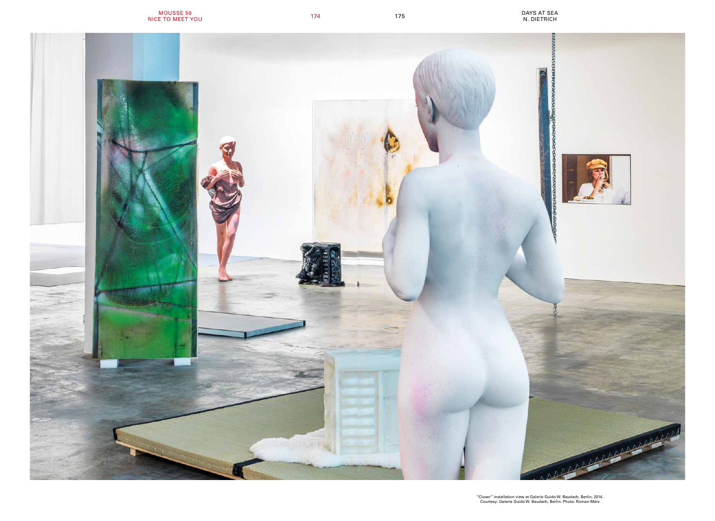"Closer" installation view at Galerie Guido W. Baudach, Berlin, 2014. Courtesy: Galerie Guido W. Baudach, Berlin. Photo: Roman März



DAYS AT SEA N. DIETRICH <sup>174</sup>